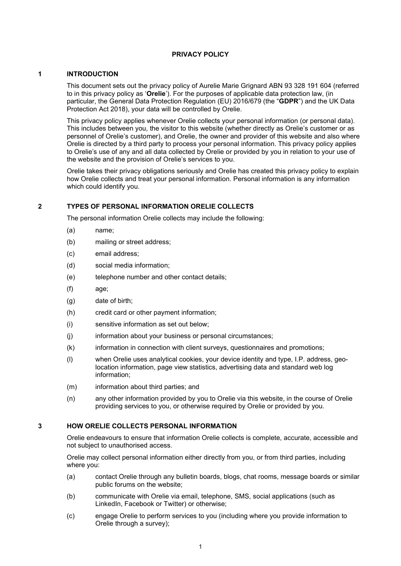### **PRIVACY POLICY**

#### **1 INTRODUCTION**

This document sets out the privacy policy of Aurelie Marie Grignard ABN 93 328 191 604 (referred to in this privacy policy as '**Orelie**'). For the purposes of applicable data protection law, (in particular, the General Data Protection Regulation (EU) 2016/679 (the "**GDPR**") and the UK Data Protection Act 2018), your data will be controlled by Orelie.

This privacy policy applies whenever Orelie collects your personal information (or personal data). This includes between you, the visitor to this website (whether directly as Orelie's customer or as personnel of Orelie's customer), and Orelie, the owner and provider of this website and also where Orelie is directed by a third party to process your personal information. This privacy policy applies to Orelie's use of any and all data collected by Orelie or provided by you in relation to your use of the website and the provision of Orelie's services to you.

Orelie takes their privacy obligations seriously and Orelie has created this privacy policy to explain how Orelie collects and treat your personal information. Personal information is any information which could identify you.

#### **2 TYPES OF PERSONAL INFORMATION ORELIE COLLECTS**

The personal information Orelie collects may include the following:

- (a) name;
- (b) mailing or street address;
- (c) email address;
- (d) social media information;
- (e) telephone number and other contact details;
- (f) age;
- (g) date of birth;
- (h) credit card or other payment information;
- (i) sensitive information as set out below;
- (j) information about your business or personal circumstances;
- (k) information in connection with client surveys, questionnaires and promotions;
- (l) when Orelie uses analytical cookies, your device identity and type, I.P. address, geolocation information, page view statistics, advertising data and standard web log information;
- (m) information about third parties; and
- (n) any other information provided by you to Orelie via this website, in the course of Orelie providing services to you, or otherwise required by Orelie or provided by you.

#### **3 HOW ORELIE COLLECTS PERSONAL INFORMATION**

Orelie endeavours to ensure that information Orelie collects is complete, accurate, accessible and not subject to unauthorised access.

Orelie may collect personal information either directly from you, or from third parties, including where you:

- (a) contact Orelie through any bulletin boards, blogs, chat rooms, message boards or similar public forums on the website;
- (b) communicate with Orelie via email, telephone, SMS, social applications (such as LinkedIn, Facebook or Twitter) or otherwise;
- (c) engage Orelie to perform services to you (including where you provide information to Orelie through a survey);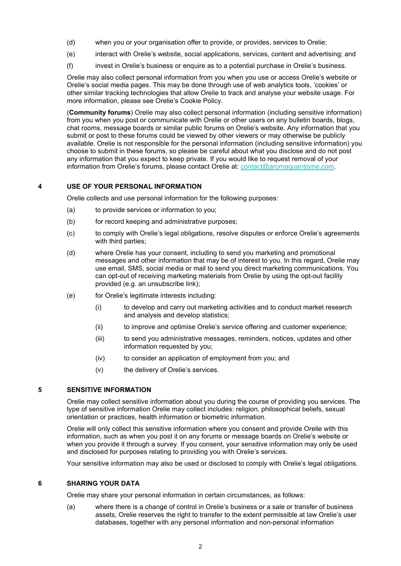- (d) when you or your organisation offer to provide, or provides, services to Orelie;
- (e) interact with Orelie's website, social applications, services, content and advertising; and
- (f) invest in Orelie's business or enquire as to a potential purchase in Orelie's business.

Orelie may also collect personal information from you when you use or access Orelie's website or Orelie's social media pages. This may be done through use of web analytics tools, 'cookies' or other similar tracking technologies that allow Orelie to track and analyse your website usage. For more information, please see Orelie's Cookie Policy.

(**Community forums**) Orelie may also collect personal information (including sensitive information) from you when you post or communicate with Orelie or other users on any bulletin boards, blogs, chat rooms, message boards or similar public forums on Orelie's website. Any information that you submit or post to these forums could be viewed by other viewers or may otherwise be publicly available. Orelie is not responsible for the personal information (including sensitive information) you choose to submit in these forums, so please be careful about what you disclose and do not post any information that you expect to keep private. If you would like to request removal of your information from Orelie's forums, please contact Orelie at: [contact@aromaquantisme.com.](mailto:contact@aromaquantisme.com)

# **4 USE OF YOUR PERSONAL INFORMATION**

Orelie collects and use personal information for the following purposes:

- (a) to provide services or information to you;
- (b) for record keeping and administrative purposes;
- (c) to comply with Orelie's legal obligations, resolve disputes or enforce Orelie's agreements with third parties;
- (d) where Orelie has your consent, including to send you marketing and promotional messages and other information that may be of interest to you. In this regard, Orelie may use email, SMS, social media or mail to send you direct marketing communications. You can opt-out of receiving marketing materials from Orelie by using the opt-out facility provided (e.g. an unsubscribe link);
- (e) for Orelie's legitimate interests including:
	- (i) to develop and carry out marketing activities and to conduct market research and analysis and develop statistics;
	- (ii) to improve and optimise Orelie's service offering and customer experience;
	- (iii) to send you administrative messages, reminders, notices, updates and other information requested by you;
	- (iv) to consider an application of employment from you; and
	- (v) the delivery of Orelie's services.

# **5 SENSITIVE INFORMATION**

Orelie may collect sensitive information about you during the course of providing you services. The type of sensitive information Orelie may collect includes: religion, philosophical beliefs, sexual orientation or practices, health information or biometric information.

Orelie will only collect this sensitive information where you consent and provide Orelie with this information, such as when you post it on any forums or message boards on Orelie's website or when you provide it through a survey. If you consent, your sensitive information may only be used and disclosed for purposes relating to providing you with Orelie's services.

Your sensitive information may also be used or disclosed to comply with Orelie's legal obligations.

# **6 SHARING YOUR DATA**

Orelie may share your personal information in certain circumstances, as follows:

(a) where there is a change of control in Orelie's business or a sale or transfer of business assets, Orelie reserves the right to transfer to the extent permissible at law Orelie's user databases, together with any personal information and non-personal information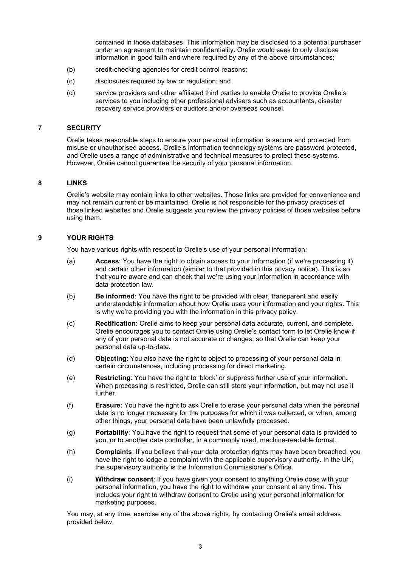contained in those databases. This information may be disclosed to a potential purchaser under an agreement to maintain confidentiality. Orelie would seek to only disclose information in good faith and where required by any of the above circumstances;

- (b) credit-checking agencies for credit control reasons;
- (c) disclosures required by law or regulation; and
- (d) service providers and other affiliated third parties to enable Orelie to provide Orelie's services to you including other professional advisers such as accountants, disaster recovery service providers or auditors and/or overseas counsel.

### **7 SECURITY**

Orelie takes reasonable steps to ensure your personal information is secure and protected from misuse or unauthorised access. Orelie's information technology systems are password protected, and Orelie uses a range of administrative and technical measures to protect these systems. However, Orelie cannot guarantee the security of your personal information.

# **8 LINKS**

Orelie's website may contain links to other websites. Those links are provided for convenience and may not remain current or be maintained. Orelie is not responsible for the privacy practices of those linked websites and Orelie suggests you review the privacy policies of those websites before using them.

# **9 YOUR RIGHTS**

You have various rights with respect to Orelie's use of your personal information:

- (a) **Access**: You have the right to obtain access to your information (if we're processing it) and certain other information (similar to that provided in this privacy notice). This is so that you're aware and can check that we're using your information in accordance with data protection law.
- (b) **Be informed**: You have the right to be provided with clear, transparent and easily understandable information about how Orelie uses your information and your rights. This is why we're providing you with the information in this privacy policy.
- (c) **Rectification**: Orelie aims to keep your personal data accurate, current, and complete. Orelie encourages you to contact Orelie using Orelie's contact form to let Orelie know if any of your personal data is not accurate or changes, so that Orelie can keep your personal data up-to-date.
- (d) **Objecting**: You also have the right to object to processing of your personal data in certain circumstances, including processing for direct marketing.
- (e) **Restricting**: You have the right to 'block' or suppress further use of your information. When processing is restricted, Orelie can still store your information, but may not use it further.
- (f) **Erasure**: You have the right to ask Orelie to erase your personal data when the personal data is no longer necessary for the purposes for which it was collected, or when, among other things, your personal data have been unlawfully processed.
- (g) **Portability**: You have the right to request that some of your personal data is provided to you, or to another data controller, in a commonly used, machine-readable format.
- (h) **Complaints**: If you believe that your data protection rights may have been breached, you have the right to lodge a complaint with the applicable supervisory authority. In the UK, the supervisory authority is the Information Commissioner's Office.
- (i) **Withdraw consent**: If you have given your consent to anything Orelie does with your personal information, you have the right to withdraw your consent at any time. This includes your right to withdraw consent to Orelie using your personal information for marketing purposes.

You may, at any time, exercise any of the above rights, by contacting Orelie's email address provided below.